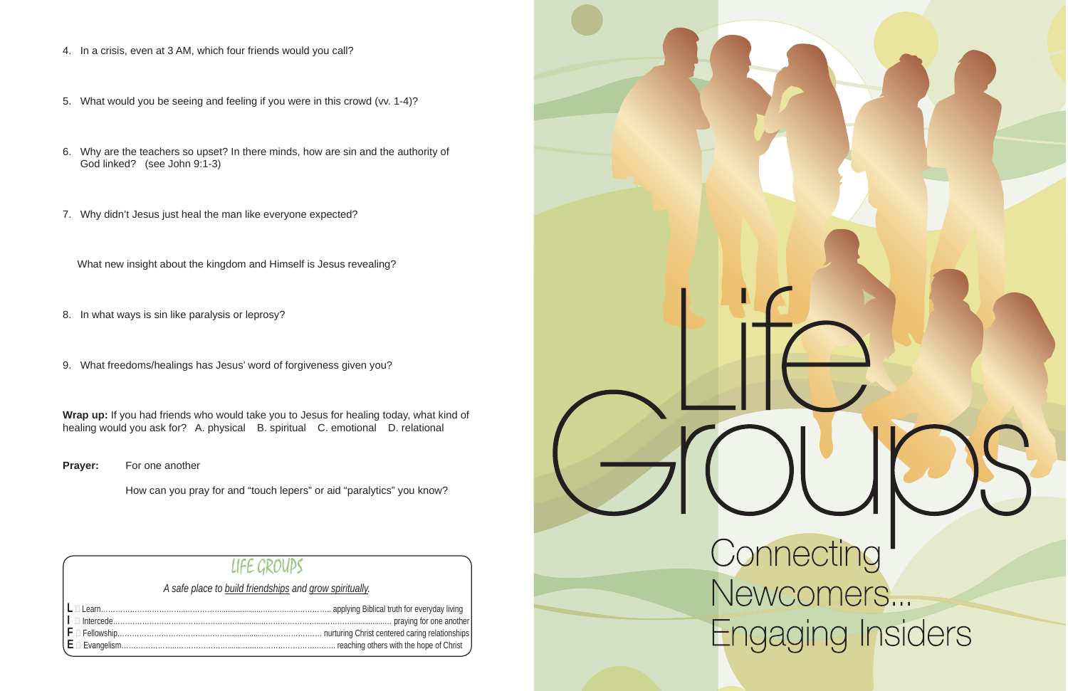- 4. In a crisis, even at 3 AM, which four friends would you call?
- 5. What would you be seeing and feeling if you were in this crowd (vv. 1-4)?
- 6. Why are the teachers so upset? In there minds, how are sin and the authority of God linked? (see John 9:1-3)
- 7. Why didn't Jesus just heal the man like everyone expected?

What new insight about the kingdom and Himself is Jesus revealing?

- 8. In what ways is sin like paralysis or leprosy?
- 9. What freedoms/healings has Jesus' word of forgiveness given you?

**Wrap up:** If you had friends who would take you to Jesus for healing today, what kind of healing would you ask for? A. physical B. spiritual C. emotional D. relational

**Prayer:** For one another

How can you pray for and "touch lepers" or aid "paralytics" you know?

#### LIFE GROUPS

*A safe place to build friendships and grow spiritually.*

|  | $\mid \textsf{E} \mid$ Evangelism…………………………………………………………………………………………… reaching others with the hope of Christ |
|--|--------------------------------------------------------------------------------------------------------------|



# Engaging Insiders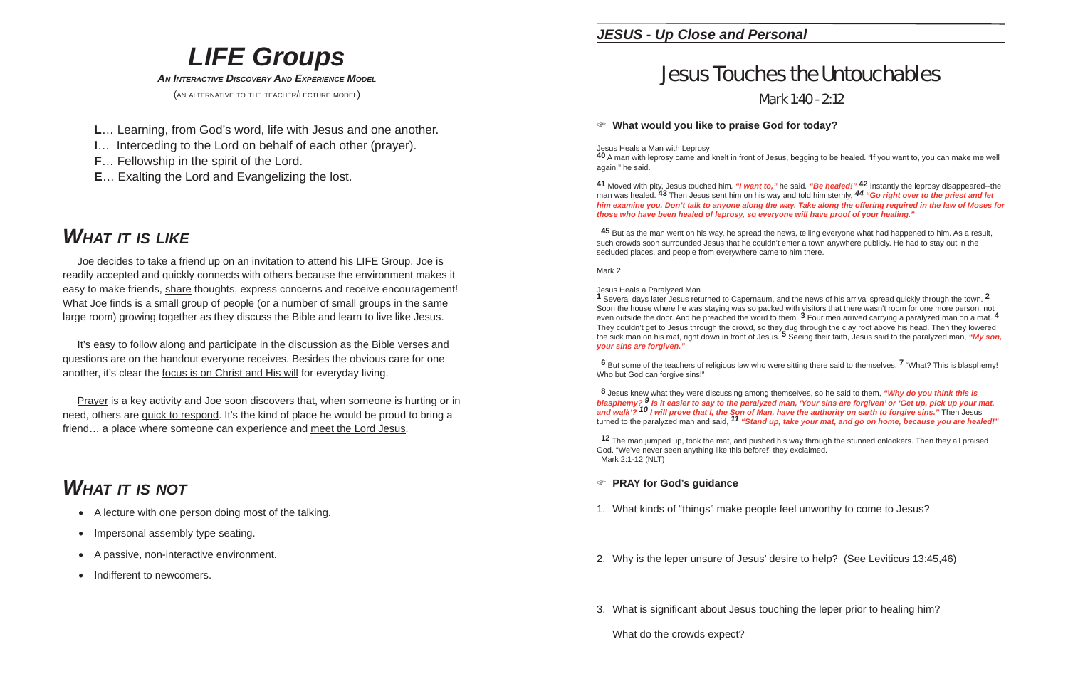#### *LIFE Groups AN INTERACTIVE DISCOVERY AND EXPERIENCE MODEL*(AN ALTERNATIVE TO THE TEACHER/LECTURE MODEL)

- **L**… Learning, from God's word, life with Jesus and one another.
- **I**… Interceding to the Lord on behalf of each other (prayer).
- **F**… Fellowship in the spirit of the Lord.
- **E**… Exalting the Lord and Evangelizing the lost.

## *WHAT IT IS LIKE*

 It's easy to follow along and participate in the discussion as the Bible verses and questions are on the handout everyone receives. Besides the obvious care for one another, it's clear the focus is on Christ and His will for everyday living.

 Joe decides to take a friend up on an invitation to attend his LIFE Group. Joe is readily accepted and quickly connects with others because the environment makes it easy to make friends, share thoughts, express concerns and receive encouragement! What Joe finds is a small group of people (or a number of small groups in the same large room) growing together as they discuss the Bible and learn to live like Jesus.

Jesus Heals a Man with Leprosy<br>**40** A man with leprosy came and knelt in front of Jesus, begging to be healed. "If you want to, you can make me well again," he said.

 Prayer is a key activity and Joe soon discovers that, when someone is hurting or in need, others are quick to respond. It's the kind of place he would be proud to bring a friend… a place where someone can experience and meet the Lord Jesus.

# *WHAT IT IS NOT*

- A lecture with one person doing most of the talking.
- $\bullet$ Impersonal assembly type seating.
- $\bullet$ A passive, non-interactive environment.
- $\bullet$ Indifferent to newcomers.

#### *JESUS - Up Close and Personal*

# Jesus Touches the UntouchablesMark 1:40 - 2:12

Jesus Heals a Paralyzed Man<br>**1** Several days later Jesus returned to Capernaum, and the news of his arrival spread quickly through the town. **2** Soon the house where he was staying was so packed with visitors that there wasn't room for one more person, not even outside the door. And he preached the word to them. **3** Four men arrived carrying a paralyzed man on a mat. **<sup>4</sup>** They couldn't get to Jesus through the crowd, so they dug through the clay roof above his head. Then they lowered<br>the sick man on his mat, right down in front of Jesus. <sup>5</sup> Seeing their faith, Jesus said to the paralyzed m *your sins are forgiven."*

#### **What would you like to praise God for today?**

- 1. What kinds of "things" make people feel unworthy to come to Jesus?
- 2. Why is the leper unsure of Jesus' desire to help? (See Leviticus 13:45,46)
- 3. What is significant about Jesus touching the leper prior to healing him?

**<sup>41</sup>** Moved with pity, Jesus touched him*. "I want to,"* he said*. "Be healed!"* **<sup>42</sup>** Instantly the leprosy disappeared--the man was healed. **43** Then Jesus sent him on his way and told him sternly, *<sup>44</sup> "Go right over to the priest and let him examine you. Don't talk to anyone along the way. Take along the offering required in the law of Moses for those who have been healed of leprosy, so everyone will have proof of your healing."*

**<sup>45</sup>** But as the man went on his way, he spread the news, telling everyone what had happened to him. As a result, such crowds soon surrounded Jesus that he couldn't enter a town anywhere publicly. He had to stay out in the secluded places, and people from everywhere came to him there.

Mark 2

**<sup>6</sup>** But some of the teachers of religious law who were sitting there said to themselves, **<sup>7</sup>** "What? This is blasphemy! Who but God can forgive sins!"

**<sup>8</sup>** Jesus knew what they were discussing among themselves, so he said to them, *"Why do you think this is blasphemy? <sup>9</sup> Is it easier to say to the paralyzed man, 'Your sins are forgiven' or 'Get up, pick up your mat, and walk'? <sup>10</sup> I will prove that I, the Son of Man, have the authority on earth to forgive sins."* Then Jesus turned to the paralyzed man and said, *<sup>11</sup> "Stand up, take your mat, and go on home, because you are healed!"*

**<sup>12</sup>** The man jumped up, took the mat, and pushed his way through the stunned onlookers. Then they all praised God. "We've never seen anything like this before!" they exclaimed. Mark 2:1-12 (NLT)

#### **PRAY for God's guidance**

What do the crowds expect?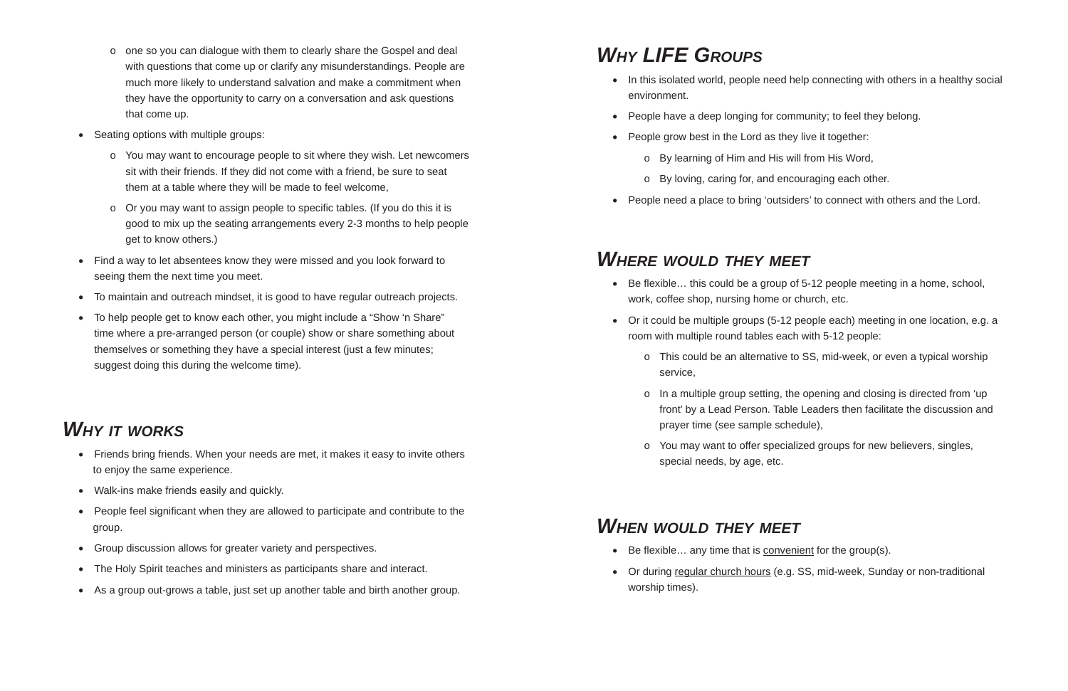- o one so you can dialogue with them to clearly share the Gospel and deal with questions that come up or clarify any misunderstandings. People are much more likely to understand salvation and make a commitment when they have the opportunity to carry on a conversation and ask questions that come up.
- Seating options with multiple groups:
	- o You may want to encourage people to sit where they wish. Let newcomers sit with their friends. If they did not come with a friend, be sure to seat them at a table where they will be made to feel welcome,
	- o Or you may want to assign people to specific tables. (If you do this it is good to mix up the seating arrangements every 2-3 months to help people get to know others.)
- Find a way to let absentees know they were missed and you look forward to seeing them the next time you meet.
- To maintain and outreach mindset, it is good to have regular outreach projects.
- To help people get to know each other, you might include a "Show 'n Share" time where a pre-arranged person (or couple) show or share something about themselves or something they have a special interest (just a few minutes; suggest doing this during the welcome time).
- environment.
- People have a deep longing for community; to feel they belong.
- People grow best in the Lord as they live it together:
	- o By learning of Him and His will from His Word,
	- o By loving, caring for, and encouraging each other.
- 

# *WHY IT WORKS*

 $\circ$  In a multiple group setting, the opening and closing is directed from 'up front' by a Lead Person. Table Leaders then facilitate the discussion and

o You may want to offer specialized groups for new believers, singles,

• Or during regular church hours (e.g. SS, mid-week, Sunday or non-traditional

- Friends bring friends. When your needs are met, it makes it easy to invite others to enjoy the same experience.
- Walk-ins make friends easily and quickly.
- $\bullet$ People feel significant when they are allowed to participate and contribute to the group.
- $\bullet$ Group discussion allows for greater variety and perspectives.
- $\bullet$ The Holy Spirit teaches and ministers as participants share and interact.
- $\bullet$ As a group out-grows a table, just set up another table and birth another group.
- Be flexible… any time that is convenient for the group(s).
- worship times).

• In this isolated world, people need help connecting with others in a healthy social

# *WHY LIFE GROUPS*

People need a place to bring 'outsiders' to connect with others and the Lord.

• Be flexible... this could be a group of 5-12 people meeting in a home, school,

## *WHERE WOULD THEY MEET*

Or it could be multiple groups (5-12 people each) meeting in one location, e.g. a

o This could be an alternative to SS, mid-week, or even a typical worship

- work, coffee shop, nursing home or church, etc.
- room with multiple round tables each with 5-12 people:
	- service,
	- prayer time (see sample schedule),
	- special needs, by age, etc.

## *WHEN WOULD THEY MEET*